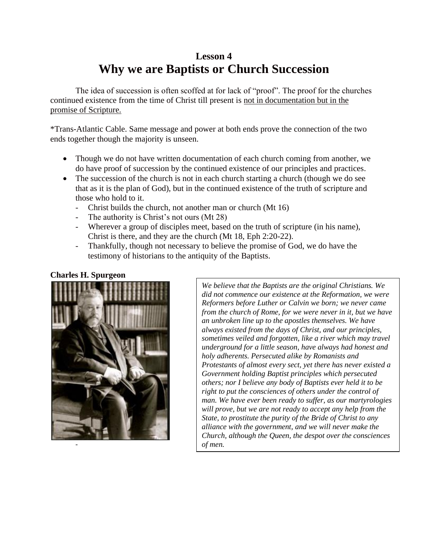# **Lesson 4 Why we are Baptists or Church Succession**

The idea of succession is often scoffed at for lack of "proof". The proof for the churches continued existence from the time of Christ till present is not in documentation but in the promise of Scripture.

\*Trans-Atlantic Cable. Same message and power at both ends prove the connection of the two ends together though the majority is unseen.

- Though we do not have written documentation of each church coming from another, we do have proof of succession by the continued existence of our principles and practices.
- The succession of the church is not in each church starting a church (though we do see that as it is the plan of God), but in the continued existence of the truth of scripture and those who hold to it.
	- Christ builds the church, not another man or church (Mt 16)
	- The authority is Christ's not ours (Mt 28)
	- Wherever a group of disciples meet, based on the truth of scripture (in his name), Christ is there, and they are the church (Mt 18, Eph 2:20-22).
	- Thankfully, though not necessary to believe the promise of God, we do have the testimony of historians to the antiquity of the Baptists.

# **Charles H. Spurgeon**



*We believe that the Baptists are the original Christians. We did not commence our existence at the Reformation, we were Reformers before Luther or Calvin we born; we never came from the church of Rome, for we were never in it, but we have an unbroken line up to the apostles themselves. We have always existed from the days of Christ, and our principles, sometimes veiled and forgotten, like a river which may travel underground for a little season, have always had honest and holy adherents. Persecuted alike by Romanists and Protestants of almost every sect, yet there has never existed a Government holding Baptist principles which persecuted others; nor I believe any body of Baptists ever held it to be right to put the consciences of others under the control of man. We have ever been ready to suffer, as our martyrologies will prove, but we are not ready to accept any help from the State, to prostitute the purity of the Bride of Christ to any alliance with the government, and we will never make the Church, although the Queen, the despot over the consciences of men.*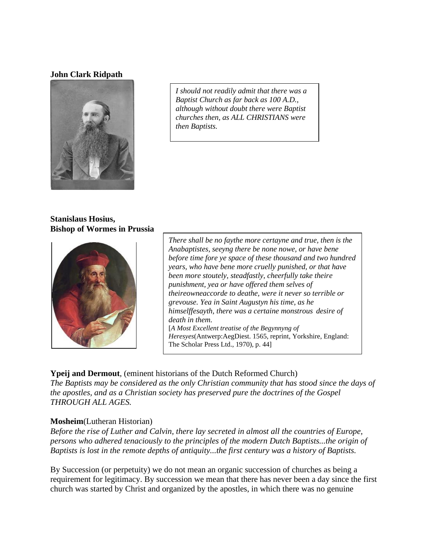#### **John Clark Ridpath**



*I should not readily admit that there was a Baptist Church as far back as 100 A.D., although without doubt there were Baptist churches then, as ALL CHRISTIANS were then Baptists.*

#### **Stanislaus Hosius, Bishop of Wormes in Prussia**



*There shall be no faythe more certayne and true, then is the Anabaptistes, seeyng there be none nowe, or have bene before time fore ye space of these thousand and two hundred years, who have bene more cruelly punished, or that have been more stoutely, steadfastly, cheerfully take theire punishment, yea or have offered them selves of theireowneaccorde to deathe, were it never so terrible or grevouse. Yea in Saint Augustyn his time, as he himselffesayth, there was a certaine monstrous desire of death in them.* [*A Most Excellent treatise of the Begynnyng of Heresyes*(Antwerp:AegDiest. 1565, reprint, Yorkshire, England: The Scholar Press Ltd., 1970), p. 44]

## **Ypeij and Dermout**, (eminent historians of the Dutch Reformed Church)

*The Baptists may be considered as the only Christian community that has stood since the days of the apostles, and as a Christian society has preserved pure the doctrines of the Gospel THROUGH ALL AGES.* 

## **Mosheim**(Lutheran Historian)

*Before the rise of Luther and Calvin, there lay secreted in almost all the countries of Europe, persons who adhered tenaciously to the principles of the modern Dutch Baptists...the origin of Baptists is lost in the remote depths of antiquity...the first century was a history of Baptists.*

By Succession (or perpetuity) we do not mean an organic succession of churches as being a requirement for legitimacy. By succession we mean that there has never been a day since the first church was started by Christ and organized by the apostles, in which there was no genuine